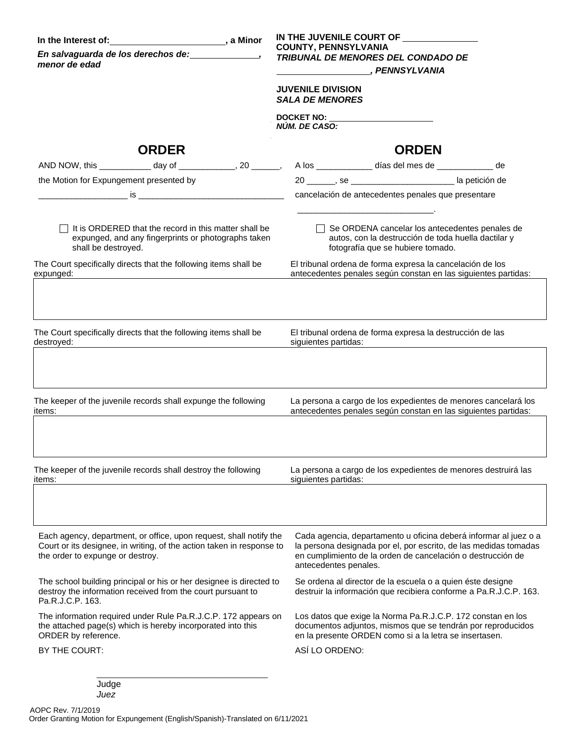| In the Interest of: No. 10 a Minor<br>En salvaguarda de los derechos de: ______________,<br>menor de edad                                                                       |                                                                                                              | IN THE JUVENILE COURT OF<br><b>COUNTY, PENNSYLVANIA</b><br><b>TRIBUNAL DE MENORES DEL CONDADO DE</b><br>PENNSYLVANIA<br><b>JUVENILE DIVISION</b><br><b>SALA DE MENORES</b><br>DOCKET NO: University of the series of the series of the series of the series of the series of the series of the series of the series of the series of the series of the series of the series of the series of the series of t<br>NÚM. DE CASO: |                                                                                                                                                                                                                              |                                                                                                                                                                                                                                                                                                     |  |  |
|---------------------------------------------------------------------------------------------------------------------------------------------------------------------------------|--------------------------------------------------------------------------------------------------------------|-------------------------------------------------------------------------------------------------------------------------------------------------------------------------------------------------------------------------------------------------------------------------------------------------------------------------------------------------------------------------------------------------------------------------------|------------------------------------------------------------------------------------------------------------------------------------------------------------------------------------------------------------------------------|-----------------------------------------------------------------------------------------------------------------------------------------------------------------------------------------------------------------------------------------------------------------------------------------------------|--|--|
|                                                                                                                                                                                 | <b>ORDER</b>                                                                                                 |                                                                                                                                                                                                                                                                                                                                                                                                                               |                                                                                                                                                                                                                              | <b>ORDEN</b>                                                                                                                                                                                                                                                                                        |  |  |
|                                                                                                                                                                                 |                                                                                                              |                                                                                                                                                                                                                                                                                                                                                                                                                               |                                                                                                                                                                                                                              | AND NOW, this ______________ day of ______________, 20 _______, A los ____________ días del mes de _____________ de                                                                                                                                                                                 |  |  |
| the Motion for Expungement presented by                                                                                                                                         |                                                                                                              |                                                                                                                                                                                                                                                                                                                                                                                                                               |                                                                                                                                                                                                                              | cancelación de antecedentes penales que presentare                                                                                                                                                                                                                                                  |  |  |
| shall be destroyed.                                                                                                                                                             | It is ORDERED that the record in this matter shall be<br>expunged, and any fingerprints or photographs taken |                                                                                                                                                                                                                                                                                                                                                                                                                               |                                                                                                                                                                                                                              | $\Box$ Se ORDENA cancelar los antecedentes penales de<br>autos, con la destrucción de toda huella dactilar y<br>fotografía que se hubiere tomado.                                                                                                                                                   |  |  |
| The Court specifically directs that the following items shall be<br>expunged:                                                                                                   |                                                                                                              |                                                                                                                                                                                                                                                                                                                                                                                                                               |                                                                                                                                                                                                                              | El tribunal ordena de forma expresa la cancelación de los<br>antecedentes penales según constan en las siguientes partidas:                                                                                                                                                                         |  |  |
| destroyed:                                                                                                                                                                      | The Court specifically directs that the following items shall be                                             |                                                                                                                                                                                                                                                                                                                                                                                                                               |                                                                                                                                                                                                                              | El tribunal ordena de forma expresa la destrucción de las<br>siguientes partidas:<br><u> and a contract of the set of the set of the set of the set of the set of the set of the set of the set of the set of the set of the set of the set of the set of the set of the set of the set of the </u> |  |  |
| items:                                                                                                                                                                          | The keeper of the juvenile records shall expunge the following                                               |                                                                                                                                                                                                                                                                                                                                                                                                                               |                                                                                                                                                                                                                              | La persona a cargo de los expedientes de menores cancelará los<br>antecedentes penales según constan en las siguientes partidas:                                                                                                                                                                    |  |  |
| The keeper of the juvenile records shall destroy the following<br>items:                                                                                                        |                                                                                                              |                                                                                                                                                                                                                                                                                                                                                                                                                               |                                                                                                                                                                                                                              | La persona a cargo de los expedientes de menores destruirá las<br>siguientes partidas:                                                                                                                                                                                                              |  |  |
| Each agency, department, or office, upon request, shall notify the<br>Court or its designee, in writing, of the action taken in response to<br>the order to expunge or destroy. |                                                                                                              |                                                                                                                                                                                                                                                                                                                                                                                                                               | Cada agencia, departamento u oficina deberá informar al juez o a<br>la persona designada por el, por escrito, de las medidas tomadas<br>en cumplimiento de la orden de cancelación o destrucción de<br>antecedentes penales. |                                                                                                                                                                                                                                                                                                     |  |  |
| The school building principal or his or her designee is directed to<br>destroy the information received from the court pursuant to<br>Pa.R.J.C.P. 163.                          |                                                                                                              |                                                                                                                                                                                                                                                                                                                                                                                                                               |                                                                                                                                                                                                                              | Se ordena al director de la escuela o a quien éste designe<br>destruir la información que recibiera conforme a Pa.R.J.C.P. 163.                                                                                                                                                                     |  |  |
| The information required under Rule Pa.R.J.C.P. 172 appears on<br>the attached page(s) which is hereby incorporated into this<br>ORDER by reference.                            |                                                                                                              |                                                                                                                                                                                                                                                                                                                                                                                                                               |                                                                                                                                                                                                                              | Los datos que exige la Norma Pa.R.J.C.P. 172 constan en los<br>documentos adjuntos, mismos que se tendrán por reproducidos<br>en la presente ORDEN como si a la letra se insertasen.                                                                                                                |  |  |
| BY THE COURT:                                                                                                                                                                   |                                                                                                              |                                                                                                                                                                                                                                                                                                                                                                                                                               | ASÍ LO ORDENO:                                                                                                                                                                                                               |                                                                                                                                                                                                                                                                                                     |  |  |
| Judge<br>Juez                                                                                                                                                                   |                                                                                                              |                                                                                                                                                                                                                                                                                                                                                                                                                               |                                                                                                                                                                                                                              |                                                                                                                                                                                                                                                                                                     |  |  |